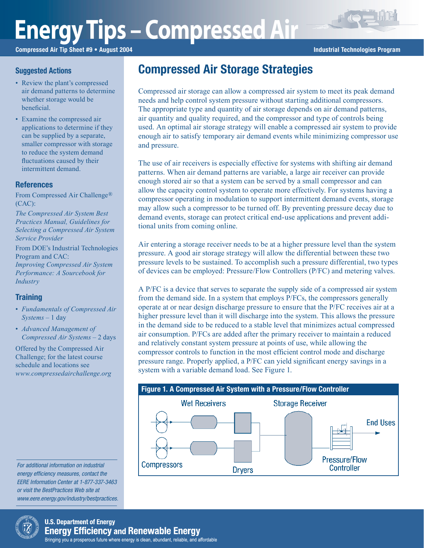# **Energy Tips – Compressed Air**

Compressed Air Tip Sheet #9 • August 2004 **Industrial Technologies Program** Industrial Technologies Program

#### **Suggested Actions**

- Review the plant's compressed air demand patterns to determine whether storage would be beneficial.
- Examine the compressed air applications to determine if they can be supplied by a separate, smaller compressor with storage to reduce the system demand fluctuations caused by their intermittent demand.

#### References

From Compressed Air Challenge® (CAC):

*The Compressed Air System Best Practices Manual, Guidelines for Selecting a Compressed Air System Service Provider*

From DOE's Industrial Technologies Program and CAC:

*Improving Compressed Air System Performance: A Sourcebook for Industry*

### **Training**

- *Fundamentals of Compressed Air Systems* – 1 day
- *Advanced Management of Compressed Air Systems* – 2 days

Offered by the Compressed Air Challenge; for the latest course schedule and locations see *www.compressedairchallenge.org*

For additional information on industrial energy efficiency measures, contact the EERE Information Center at 1-877-337-3463 or visit the BestPractices Web site at www.eere.energy.gov/industry/bestpractices.

## Compressed Air Storage Strategies

Compressed air storage can allow a compressed air system to meet its peak demand needs and help control system pressure without starting additional compressors. The appropriate type and quantity of air storage depends on air demand patterns, air quantity and quality required, and the compressor and type of controls being used. An optimal air storage strategy will enable a compressed air system to provide enough air to satisfy temporary air demand events while minimizing compressor use and pressure.

The use of air receivers is especially effective for systems with shifting air demand patterns. When air demand patterns are variable, a large air receiver can provide enough stored air so that a system can be served by a small compressor and can allow the capacity control system to operate more effectively. For systems having a compressor operating in modulation to support intermittent demand events, storage may allow such a compressor to be turned off. By preventing pressure decay due to demand events, storage can protect critical end-use applications and prevent additional units from coming online.

Air entering a storage receiver needs to be at a higher pressure level than the system pressure. A good air storage strategy will allow the differential between these two pressure levels to be sustained. To accomplish such a pressure differential, two types of devices can be employed: Pressure/Flow Controllers (P/FC) and metering valves.

A P/FC is a device that serves to separate the supply side of a compressed air system from the demand side. In a system that employs P/FCs, the compressors generally operate at or near design discharge pressure to ensure that the P/FC receives air at a higher pressure level than it will discharge into the system. This allows the pressure in the demand side to be reduced to a stable level that minimizes actual compressed air consumption. P/FCs are added after the primary receiver to maintain a reduced and relatively constant system pressure at points of use, while allowing the compressor controls to function in the most efficient control mode and discharge pressure range. Properly applied, a P/FC can yield significant energy savings in a system with a variable demand load. See Figure 1.